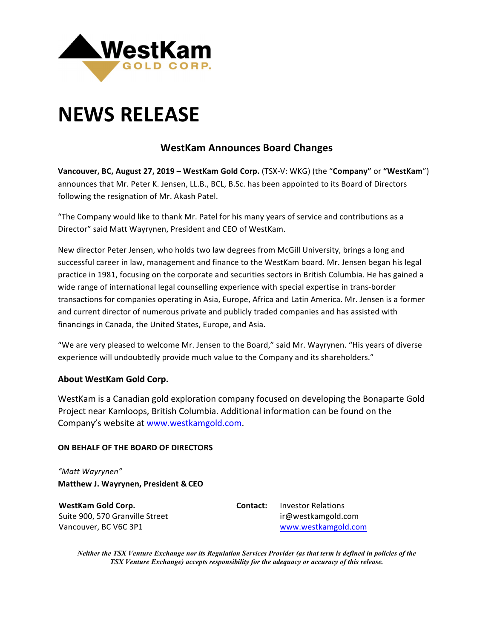

# **NEWS RELEASE**

## **WestKam Announces Board Changes**

**Vancouver, BC, August 27, 2019 – WestKam Gold Corp.** (TSX-V: WKG) (the "Company" or "WestKam") announces that Mr. Peter K. Jensen, LL.B., BCL, B.Sc. has been appointed to its Board of Directors following the resignation of Mr. Akash Patel.

"The Company would like to thank Mr. Patel for his many years of service and contributions as a Director" said Matt Wayrynen, President and CEO of WestKam.

New director Peter Jensen, who holds two law degrees from McGill University, brings a long and successful career in law, management and finance to the WestKam board. Mr. Jensen began his legal practice in 1981, focusing on the corporate and securities sectors in British Columbia. He has gained a wide range of international legal counselling experience with special expertise in trans-border transactions for companies operating in Asia, Europe, Africa and Latin America. Mr. Jensen is a former and current director of numerous private and publicly traded companies and has assisted with financings in Canada, the United States, Europe, and Asia.

"We are very pleased to welcome Mr. Jensen to the Board," said Mr. Wayrynen. "His years of diverse experience will undoubtedly provide much value to the Company and its shareholders."

### **About WestKam Gold Corp.**

WestKam is a Canadian gold exploration company focused on developing the Bonaparte Gold Project near Kamloops, British Columbia. Additional information can be found on the Company's website at www.westkamgold.com.

#### **ON BEHALF OF THE BOARD OF DIRECTORS**

*"Matt Wayrynen"* **Matthew J. Wayrynen, President & CEO**

**WestKam Gold Corp.** Suite 900, 570 Granville Street Vancouver, BC V6C 3P1

**Contact:** Investor Relations ir@westkamgold.com www.westkamgold.com

*Neither the TSX Venture Exchange nor its Regulation Services Provider (as that term is defined in policies of the TSX Venture Exchange) accepts responsibility for the adequacy or accuracy of this release.*